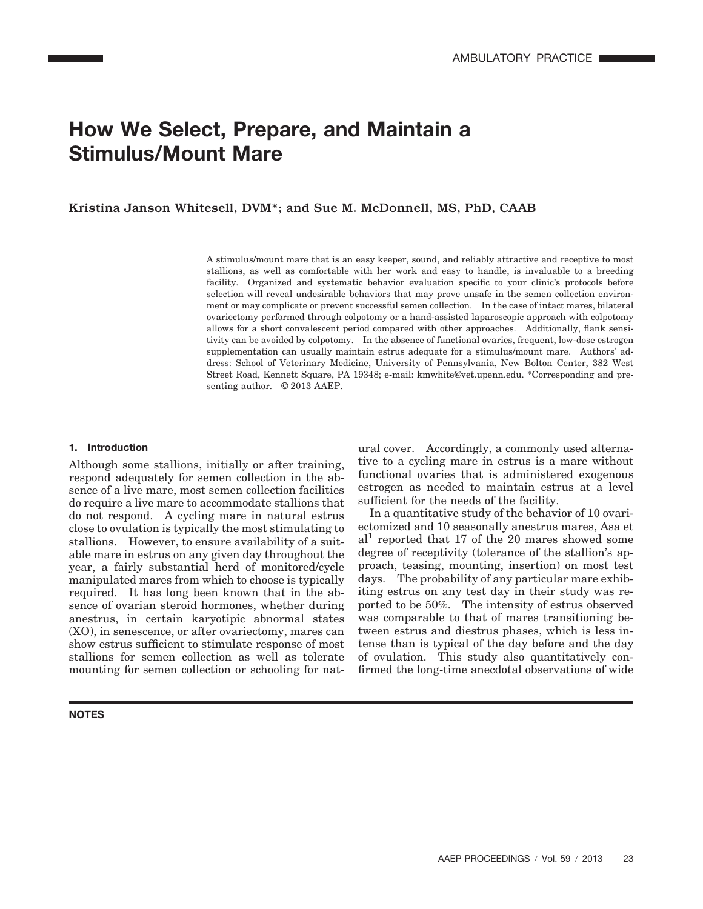# **How We Select, Prepare, and Maintain a Stimulus/Mount Mare**

Kristina Janson Whitesell, DVM\*; and Sue M. McDonnell, MS, PhD, CAAB

A stimulus/mount mare that is an easy keeper, sound, and reliably attractive and receptive to most stallions, as well as comfortable with her work and easy to handle, is invaluable to a breeding facility. Organized and systematic behavior evaluation specific to your clinic's protocols before selection will reveal undesirable behaviors that may prove unsafe in the semen collection environment or may complicate or prevent successful semen collection. In the case of intact mares, bilateral ovariectomy performed through colpotomy or a hand-assisted laparoscopic approach with colpotomy allows for a short convalescent period compared with other approaches. Additionally, flank sensitivity can be avoided by colpotomy. In the absence of functional ovaries, frequent, low-dose estrogen supplementation can usually maintain estrus adequate for a stimulus/mount mare. Authors' address: School of Veterinary Medicine, University of Pennsylvania, New Bolton Center, 382 West Street Road, Kennett Square, PA 19348; e-mail: kmwhite@vet.upenn.edu. \*Corresponding and presenting author. © 2013 AAEP.

#### **1. Introduction**

Although some stallions, initially or after training, respond adequately for semen collection in the absence of a live mare, most semen collection facilities do require a live mare to accommodate stallions that do not respond. A cycling mare in natural estrus close to ovulation is typically the most stimulating to stallions. However, to ensure availability of a suitable mare in estrus on any given day throughout the year, a fairly substantial herd of monitored/cycle manipulated mares from which to choose is typically required. It has long been known that in the absence of ovarian steroid hormones, whether during anestrus, in certain karyotipic abnormal states (XO), in senescence, or after ovariectomy, mares can show estrus sufficient to stimulate response of most stallions for semen collection as well as tolerate mounting for semen collection or schooling for nat-

#### **NOTES**

ural cover. Accordingly, a commonly used alternative to a cycling mare in estrus is a mare without functional ovaries that is administered exogenous estrogen as needed to maintain estrus at a level sufficient for the needs of the facility.

In a quantitative study of the behavior of 10 ovariectomized and 10 seasonally anestrus mares, Asa et  $al<sup>1</sup>$  reported that 17 of the 20 mares showed some degree of receptivity (tolerance of the stallion's approach, teasing, mounting, insertion) on most test days. The probability of any particular mare exhibiting estrus on any test day in their study was reported to be 50%. The intensity of estrus observed was comparable to that of mares transitioning between estrus and diestrus phases, which is less intense than is typical of the day before and the day of ovulation. This study also quantitatively confirmed the long-time anecdotal observations of wide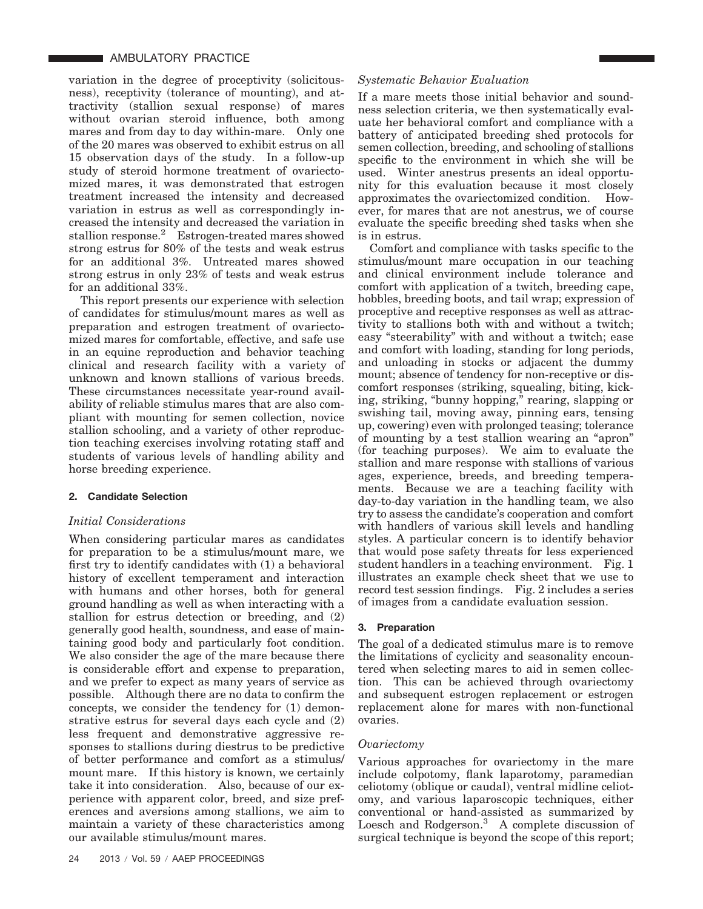variation in the degree of proceptivity (solicitousness), receptivity (tolerance of mounting), and attractivity (stallion sexual response) of mares without ovarian steroid influence, both among mares and from day to day within-mare. Only one of the 20 mares was observed to exhibit estrus on all 15 observation days of the study. In a follow-up study of steroid hormone treatment of ovariectomized mares, it was demonstrated that estrogen treatment increased the intensity and decreased variation in estrus as well as correspondingly increased the intensity and decreased the variation in stallion response.<sup>2</sup> Estrogen-treated mares showed strong estrus for 80% of the tests and weak estrus for an additional 3%. Untreated mares showed strong estrus in only 23% of tests and weak estrus for an additional 33%.

This report presents our experience with selection of candidates for stimulus/mount mares as well as preparation and estrogen treatment of ovariectomized mares for comfortable, effective, and safe use in an equine reproduction and behavior teaching clinical and research facility with a variety of unknown and known stallions of various breeds. These circumstances necessitate year-round availability of reliable stimulus mares that are also compliant with mounting for semen collection, novice stallion schooling, and a variety of other reproduction teaching exercises involving rotating staff and students of various levels of handling ability and horse breeding experience.

## **2. Candidate Selection**

## *Initial Considerations*

When considering particular mares as candidates for preparation to be a stimulus/mount mare, we first try to identify candidates with (1) a behavioral history of excellent temperament and interaction with humans and other horses, both for general ground handling as well as when interacting with a stallion for estrus detection or breeding, and (2) generally good health, soundness, and ease of maintaining good body and particularly foot condition. We also consider the age of the mare because there is considerable effort and expense to preparation, and we prefer to expect as many years of service as possible. Although there are no data to confirm the concepts, we consider the tendency for (1) demonstrative estrus for several days each cycle and (2) less frequent and demonstrative aggressive responses to stallions during diestrus to be predictive of better performance and comfort as a stimulus/ mount mare. If this history is known, we certainly take it into consideration. Also, because of our experience with apparent color, breed, and size preferences and aversions among stallions, we aim to maintain a variety of these characteristics among our available stimulus/mount mares.

## *Systematic Behavior Evaluation*

If a mare meets those initial behavior and soundness selection criteria, we then systematically evaluate her behavioral comfort and compliance with a battery of anticipated breeding shed protocols for semen collection, breeding, and schooling of stallions specific to the environment in which she will be used. Winter anestrus presents an ideal opportunity for this evaluation because it most closely approximates the ovariectomized condition. However, for mares that are not anestrus, we of course evaluate the specific breeding shed tasks when she is in estrus.

Comfort and compliance with tasks specific to the stimulus/mount mare occupation in our teaching and clinical environment include tolerance and comfort with application of a twitch, breeding cape, hobbles, breeding boots, and tail wrap; expression of proceptive and receptive responses as well as attractivity to stallions both with and without a twitch; easy "steerability" with and without a twitch; ease and comfort with loading, standing for long periods, and unloading in stocks or adjacent the dummy mount; absence of tendency for non-receptive or discomfort responses (striking, squealing, biting, kicking, striking, "bunny hopping," rearing, slapping or swishing tail, moving away, pinning ears, tensing up, cowering) even with prolonged teasing; tolerance of mounting by a test stallion wearing an "apron" (for teaching purposes). We aim to evaluate the stallion and mare response with stallions of various ages, experience, breeds, and breeding temperaments. Because we are a teaching facility with day-to-day variation in the handling team, we also try to assess the candidate's cooperation and comfort with handlers of various skill levels and handling styles. A particular concern is to identify behavior that would pose safety threats for less experienced student handlers in a teaching environment. Fig. 1 illustrates an example check sheet that we use to record test session findings. Fig. 2 includes a series of images from a candidate evaluation session.

## **3. Preparation**

The goal of a dedicated stimulus mare is to remove the limitations of cyclicity and seasonality encountered when selecting mares to aid in semen collection. This can be achieved through ovariectomy and subsequent estrogen replacement or estrogen replacement alone for mares with non-functional ovaries.

## *Ovariectomy*

Various approaches for ovariectomy in the mare include colpotomy, flank laparotomy, paramedian celiotomy (oblique or caudal), ventral midline celiotomy, and various laparoscopic techniques, either conventional or hand-assisted as summarized by Loesch and Rodgerson.3 A complete discussion of surgical technique is beyond the scope of this report;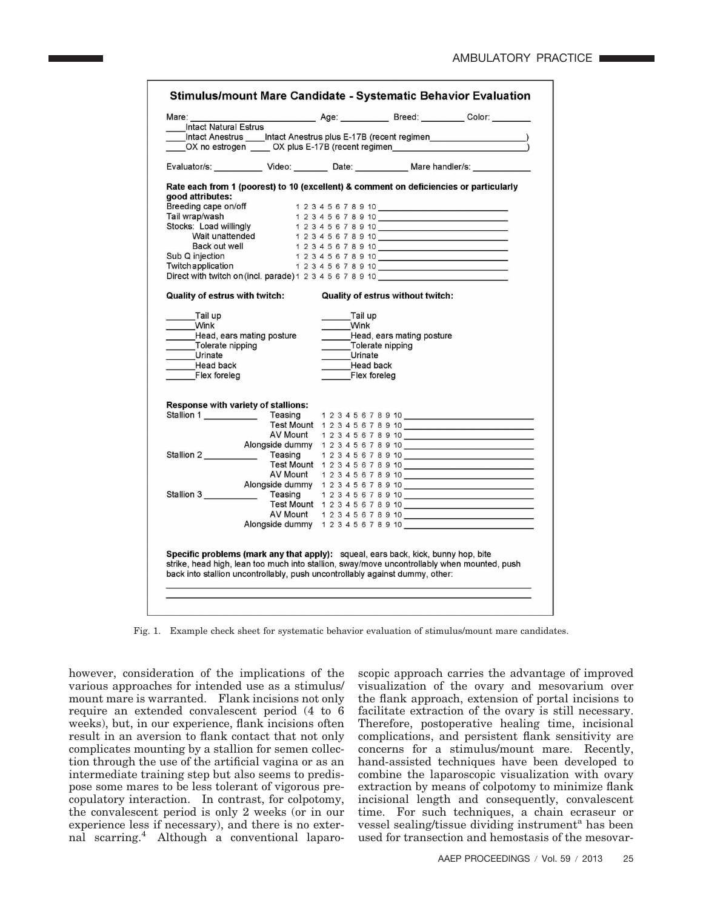| Intact Natural Estrus                                                                                        |         |              |                                                              |                             |
|--------------------------------------------------------------------------------------------------------------|---------|--------------|--------------------------------------------------------------|-----------------------------|
|                                                                                                              |         |              |                                                              |                             |
|                                                                                                              |         |              |                                                              |                             |
| OX no estrogen _____ OX plus E-17B (recent regimen _____________________________                             |         |              |                                                              |                             |
| Evaluator/s: _____________ Video: ________ Date: ___________ Mare handler/s: ___________                     |         |              |                                                              |                             |
| Rate each from 1 (poorest) to 10 (excellent) & comment on deficiencies or particularly                       |         |              |                                                              |                             |
| good attributes:                                                                                             |         |              |                                                              |                             |
| Breeding cape on/off                                                                                         |         |              | 1 2 3 4 5 6 7 8 9 10                                         |                             |
| Tail wrap/wash                                                                                               |         |              |                                                              |                             |
|                                                                                                              |         |              |                                                              |                             |
| Stocks: Load willingly<br>Wait unattended                                                                    |         |              |                                                              |                             |
| Back out well                                                                                                |         |              |                                                              |                             |
| Sub Q injection                                                                                              |         |              |                                                              |                             |
| Twitch application                                                                                           |         |              |                                                              |                             |
| Direct with twitch on (incl. parade) 1 2 3 4 5 6 7 8 9 10                                                    |         |              | $1\ 2\ 3\ 4\ 5\ 6\ 7\ 8\ 9\ 10$                              |                             |
|                                                                                                              |         |              |                                                              |                             |
| <b>Quality of estrus with twitch:</b>                                                                        |         |              | Quality of estrus without twitch:                            |                             |
| Tail up                                                                                                      |         |              |                                                              |                             |
|                                                                                                              |         |              |                                                              |                             |
| Wink                                                                                                         |         | Tail up      |                                                              |                             |
|                                                                                                              |         | _______ Wink |                                                              |                             |
| __Head, ears mating posture                                                                                  |         |              |                                                              |                             |
|                                                                                                              |         |              |                                                              |                             |
| Tolerate nipping<br>Urinate<br><b>Head back</b>                                                              |         | Head back    | Head, ears mating posture<br>Tolerate nipping<br>Urinate     |                             |
| Flex foreleg                                                                                                 |         | Flex foreleg |                                                              |                             |
|                                                                                                              |         |              |                                                              |                             |
|                                                                                                              |         |              |                                                              |                             |
| <b>Response with variety of stallions:</b>                                                                   |         |              |                                                              |                             |
|                                                                                                              | Teasing |              |                                                              |                             |
|                                                                                                              |         |              | Test Mount 12345678910                                       |                             |
|                                                                                                              |         |              | AV Mount 12345678910                                         |                             |
|                                                                                                              |         |              |                                                              |                             |
|                                                                                                              |         |              |                                                              | Teasing 12345678910         |
|                                                                                                              |         |              |                                                              | Test Mount 12345678910      |
|                                                                                                              |         |              | AV Mount 1 2 3 4 5 6 7 8 9 10                                |                             |
|                                                                                                              |         |              |                                                              | Alongside dummy 12345678910 |
|                                                                                                              |         |              |                                                              |                             |
| Stallion 1<br>Stallion 2<br>Stallion 3 _______________ Teasing 1 2 3 4 5 6 7 8 9 10 ________________________ |         |              |                                                              | Test Mount 12345678910      |
|                                                                                                              |         |              | AV Mount 12345678910<br>Alongside dummy 1 2 3 4 5 6 7 8 9 10 |                             |

Fig. 1. Example check sheet for systematic behavior evaluation of stimulus/mount mare candidates.

however, consideration of the implications of the various approaches for intended use as a stimulus/ mount mare is warranted. Flank incisions not only require an extended convalescent period (4 to 6 weeks), but, in our experience, flank incisions often result in an aversion to flank contact that not only complicates mounting by a stallion for semen collection through the use of the artificial vagina or as an intermediate training step but also seems to predispose some mares to be less tolerant of vigorous precopulatory interaction. In contrast, for colpotomy, the convalescent period is only 2 weeks (or in our experience less if necessary), and there is no external scarring.4 Although a conventional laparoscopic approach carries the advantage of improved visualization of the ovary and mesovarium over the flank approach, extension of portal incisions to facilitate extraction of the ovary is still necessary. Therefore, postoperative healing time, incisional complications, and persistent flank sensitivity are concerns for a stimulus/mount mare. Recently, hand-assisted techniques have been developed to combine the laparoscopic visualization with ovary extraction by means of colpotomy to minimize flank incisional length and consequently, convalescent time. For such techniques, a chain ecraseur or vessel sealing/tissue dividing instrument<sup>a</sup> has been used for transection and hemostasis of the mesovar-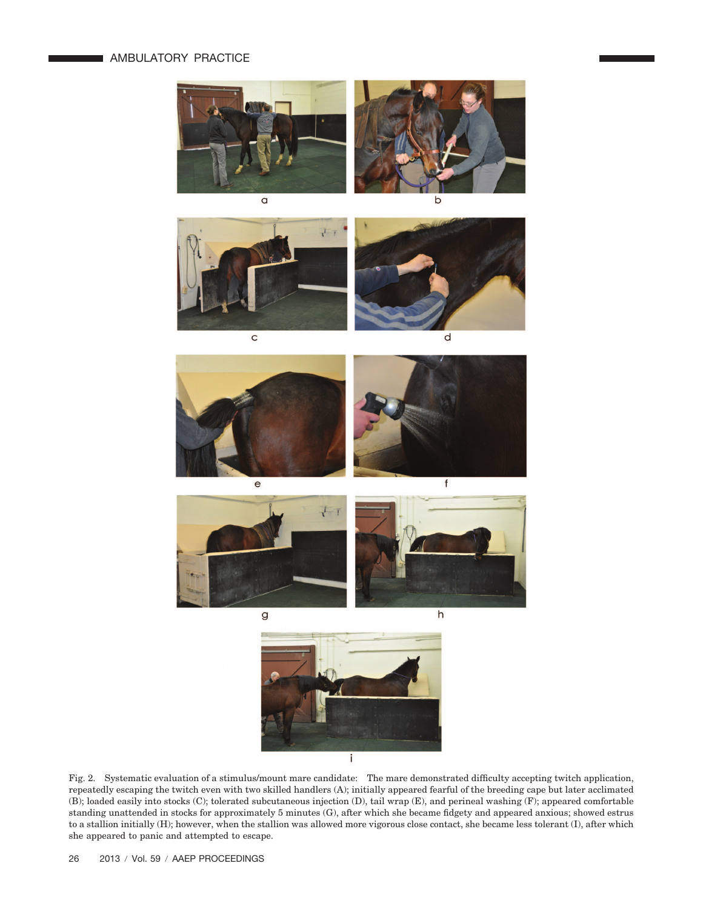# **AMBULATORY PRACTICE**









g





Fig. 2. Systematic evaluation of a stimulus/mount mare candidate: The mare demonstrated difficulty accepting twitch application, repeatedly escaping the twitch even with two skilled handlers (A); initially appeared fearful of the breeding cape but later acclimated (B); loaded easily into stocks (C); tolerated subcutaneous injection (D), tail wrap (E), and perineal washing (F); appeared comfortable standing unattended in stocks for approximately 5 minutes (G), after which she became fidgety and appeared anxious; showed estrus to a stallion initially (H); however, when the stallion was allowed more vigorous close contact, she became less tolerant (I), after which she appeared to panic and attempted to escape.